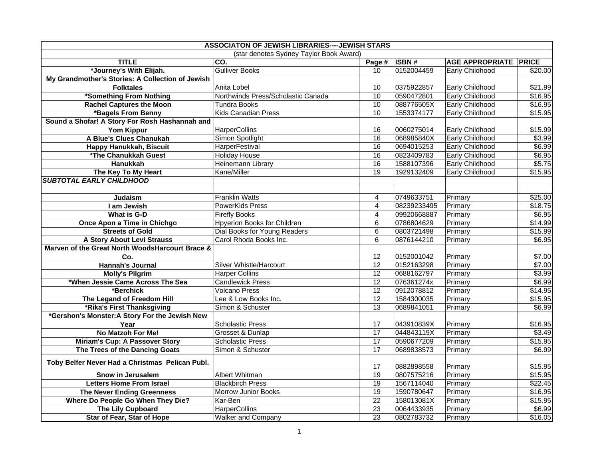| <b>ASSOCIATON OF JEWISH LIBRARIES---- JEWISH STARS</b> |                                         |                 |             |                              |         |
|--------------------------------------------------------|-----------------------------------------|-----------------|-------------|------------------------------|---------|
|                                                        | (star denotes Sydney Taylor Book Award) |                 |             |                              |         |
| <b>TITLE</b>                                           | CO.                                     | Page #          | ISBN#       | <b>AGE APPROPRIATE PRICE</b> |         |
| *Journey's With Elijah.                                | <b>Gulliver Books</b>                   | 10              | 0152004459  | Early Childhood              | \$20.00 |
| My Grandmother's Stories: A Collection of Jewish       |                                         |                 |             |                              |         |
| <b>Folktales</b>                                       | Anita Lobel                             | 10              | 0375922857  | Early Childhood              | \$21.99 |
| *Something From Nothing                                | Northwinds Press/Scholastic Canada      | 10              | 0590472801  | <b>Early Childhood</b>       | \$16.95 |
| <b>Rachel Captures the Moon</b>                        | <b>Tundra Books</b>                     | 10              | 088776505X  | <b>Early Childhood</b>       | \$16.95 |
| *Bagels From Benny                                     | <b>Kids Canadian Press</b>              | 10              | 1553374177  | Early Childhood              | \$15.95 |
| Sound a Shofar! A Story For Rosh Hashannah and         |                                         |                 |             |                              |         |
| <b>Yom Kippur</b>                                      | <b>HarperCollins</b>                    | 16              | 0060275014  | Early Childhood              | \$15.99 |
| A Blue's Clues Chanukah                                | Simon Spotlight                         | 16              | 068985840X  | Early Childhood              | \$3.99  |
| Happy Hanukkah, Biscuit                                | HarperFestival                          | 16              | 0694015253  | Early Childhood              | \$6.99  |
| *The Chanukkah Guest                                   | <b>Holiday House</b>                    | 16              | 0823409783  | Early Childhood              | \$6.95  |
| Hanukkah                                               | Heinemann Library                       | 16              | 1588107396  | Early Childhood              | \$5.75  |
| The Key To My Heart                                    | Kane/Miller                             | $\overline{19}$ | 1929132409  | Early Childhood              | \$15.95 |
| <b>SUBTOTAL EARLY CHILDHOOD</b>                        |                                         |                 |             |                              |         |
|                                                        |                                         |                 |             |                              |         |
| <b>Judaism</b>                                         | <b>Franklin Watts</b>                   | $\overline{4}$  | 0749633751  | Primary                      | \$25.00 |
| I am Jewish                                            | <b>PowerKids Press</b>                  | $\overline{4}$  | 08239233495 | Primary                      | \$18.75 |
| What is G-D                                            | <b>Firefly Books</b>                    | 4               | 09920668887 | Primary                      | \$6.95  |
| Once Apon a Time in Chichgo                            | Hpyerion Books for Children             | 6               | 0786804629  | Primary                      | \$14.99 |
| <b>Streets of Gold</b>                                 | Dial Books for Young Readers            | 6               | 0803721498  | Primary                      | \$15.99 |
| A Story About Levi Strauss                             | Carol Rhoda Books Inc.                  | 6               | 0876144210  | Primary                      | \$6.95  |
| Marven of the Great North WoodsHarcourt Brace &        |                                         |                 |             |                              |         |
| Co.                                                    |                                         | 12              | 0152001042  | Primary                      | \$7.00  |
| <b>Hannah's Journal</b>                                | Silver Whistle/Harcourt                 | 12              | 0152163298  | Primary                      | \$7.00  |
| <b>Molly's Pilgrim</b>                                 | <b>Harper Collins</b>                   | $\overline{12}$ | 0688162797  | Primary                      | \$3.99  |
| *When Jessie Came Across The Sea                       | <b>Candlewick Press</b>                 | 12              | 076361274x  | Primary                      | \$6.99  |
| *Berchick                                              | <b>Volcano Press</b>                    | $\overline{12}$ | 0912078812  | Primary                      | \$14.95 |
| The Legand of Freedom Hill                             | Lee & Low Books Inc.                    | 12              | 1584300035  | Primary                      | \$15.95 |
| *Rika's First Thanksgiving                             | Simon & Schuster                        | $\overline{13}$ | 0689841051  | Primary                      | \$6.99  |
| *Gershon's Monster: A Story For the Jewish New         |                                         |                 |             |                              |         |
| Year                                                   | <b>Scholastic Press</b>                 | 17              | 043910839X  | Primary                      | \$16.95 |
| No Matzoh For Me!                                      | Grosset & Dunlap                        | $\overline{17}$ | 044843119X  | Primary                      | \$3.49  |
| Miriam's Cup: A Passover Story                         | <b>Scholastic Press</b>                 | 17              | 0590677209  | Primary                      | \$15.95 |
| The Trees of the Dancing Goats                         | Simon & Schuster                        | 17              | 0689838573  | Primary                      | \$6.99  |
| Toby Belfer Never Had a Christmas Pelican Publ.        |                                         | 17              | 0882898558  | Primary                      | \$15.95 |
| Snow in Jerusalem                                      | Albert Whitman                          | 19              | 0807575216  | Primary                      | \$15.95 |
| <b>Letters Home From Israel</b>                        | <b>Blackbirch Press</b>                 | $\overline{19}$ | 1567114040  | Primary                      | \$22.45 |
| <b>The Never Ending Greenness</b>                      | Morrow Junior Books                     | $\overline{19}$ | 1590780647  | Primary                      | \$16.95 |
| Where Do People Go When They Die?                      | Kar-Ben                                 | 22              | 158013081X  |                              |         |
|                                                        | <b>HarperCollins</b>                    | 23              | 0064433935  | Primary<br>Primary           | \$15.95 |
| The Lily Cupboard                                      |                                         |                 |             |                              | \$6.99  |
| Star of Fear, Star of Hope                             | <b>Walker and Company</b>               | 23              | 0802783732  | Primary                      | \$16.05 |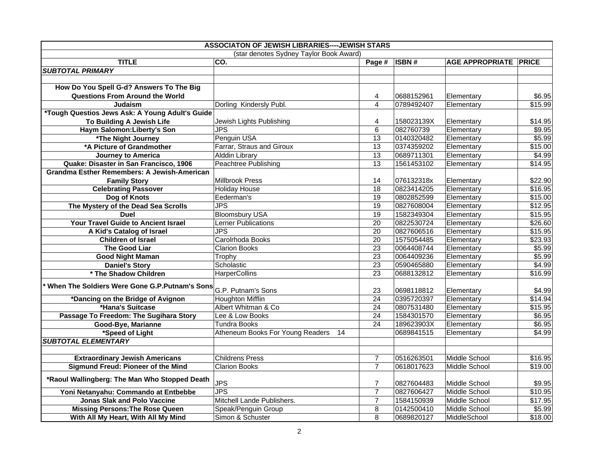| <b>ASSOCIATON OF JEWISH LIBRARIES---- JEWISH STARS</b>       |                                         |                       |                          |                              |                     |
|--------------------------------------------------------------|-----------------------------------------|-----------------------|--------------------------|------------------------------|---------------------|
|                                                              | (star denotes Sydney Taylor Book Award) |                       |                          |                              |                     |
| <b>TITLE</b>                                                 | CO.                                     | Page #                | ISBN#                    | <b>AGE APPROPRIATE PRICE</b> |                     |
| <b>SUBTOTAL PRIMARY</b>                                      |                                         |                       |                          |                              |                     |
| How Do You Spell G-d? Answers To The Big                     |                                         |                       |                          |                              |                     |
|                                                              |                                         |                       |                          |                              |                     |
| Questions From Around the World<br>Judaism                   | Dorling Kindersly Publ.                 | 4<br>$\overline{4}$   | 0688152961<br>0789492407 | Elementary<br>Elementary     | \$6.95<br>\$15.99   |
| *Tough Questios Jews Ask: A Young Adult's Guide              |                                         |                       |                          |                              |                     |
| To Building A Jewish Life                                    | Jewish Lights Publishing                | 4                     | 158023139X               |                              | \$14.95             |
| Haym Salomon: Liberty's Son                                  | JPS                                     | 6                     | 082760739                | Elementary<br>Elementary     | \$9.95              |
| *The Night Journey                                           | Penguin USA                             | $\overline{13}$       | 0140320482               | Elementary                   | \$5.99              |
| *A Picture of Grandmother                                    | Farrar, Straus and Giroux               | $\overline{13}$       | 0374359202               | Elementary                   | \$15.00             |
| <b>Journey to America</b>                                    | <b>Alddin Library</b>                   | 13                    | 0689711301               | Elementary                   | \$4.99              |
| Quake: Disaster in San Francisco, 1906                       | Peachtree Publishing                    | 13                    | 1561453102               |                              | \$14.95             |
| <b>Grandma Esther Remembers: A Jewish-American</b>           |                                         |                       |                          | Elementary                   |                     |
| <b>Family Story</b>                                          | <b>Millbrook Press</b>                  | 14                    | 076132318x               | Elementary                   | \$22.90             |
| <b>Celebrating Passover</b>                                  | <b>Holiday House</b>                    | 18                    | 0823414205               | Elementary                   | \$16.95             |
| Dog of Knots                                                 | Eederman's                              | $\overline{19}$       | 0802852599               | Elementary                   | $\overline{$}15.00$ |
| The Mystery of the Dead Sea Scrolls                          | JPS                                     | 19                    | 0827608004               | Elementary                   | \$12.95             |
| <b>Duel</b>                                                  | <b>Bloomsbury USA</b>                   | 19                    | 1582349304               | Elementary                   | \$15.95             |
| Your Travel Guide to Ancient Israel                          | <b>Lerner Publications</b>              | 20                    | 0822530724               |                              | \$26.60             |
| A Kid's Catalog of Israel                                    | JPS                                     | 20                    | 0827606516               | Elementary<br>Elementary     | \$15.95             |
| <b>Children of Israel</b>                                    | Carolrhoda Books                        | $\overline{20}$       | 1575054485               | Elementary                   | \$23.93             |
| The Good Liar                                                | <b>Clarion Books</b>                    | 23                    | 0064408744               | Elementary                   | \$5.99              |
| <b>Good Night Maman</b>                                      |                                         | 23                    | 0064409236               | Elementary                   | \$5.99              |
|                                                              | Trophy<br>Scholastic                    | 23                    | 0590465880               |                              | \$4.99              |
| <b>Daniel's Story</b><br>* The Shadow Children               |                                         | $\overline{23}$       | 0688132812               | Elementary                   | \$16.99             |
|                                                              | <b>HarperCollins</b>                    |                       |                          | Elementary                   |                     |
| When The Soldiers Were Gone G.P.Putnam's Sons                | G.P. Putnam's Sons                      | 23                    | 0698118812               |                              | \$4.99              |
|                                                              | <b>Houghton Mifflin</b>                 | $\overline{24}$       | 0395720397               | Elementary<br>Elementary     | \$14.94             |
| *Dancing on the Bridge of Avignon                            | Albert Whitman & Co                     |                       | 0807531480               |                              | \$15.95             |
| *Hana's Suitcase                                             | Lee & Low Books                         | 24<br>$\overline{24}$ | 1584301570               | Elementary                   | \$6.95              |
| Passage To Freedom: The Sugihara Story<br>Good-Bye, Marianne | Tundra Books                            | $\overline{24}$       | 189623903X               | Elementary<br>Elementary     | \$6.95              |
|                                                              | Atheneum Books For Young Readers        |                       | 0689841515               |                              | \$4.99              |
| *Speed of Light<br><b>SUBTOTAL ELEMENTARY</b>                |                                         | 14                    |                          | Elementary                   |                     |
|                                                              |                                         |                       |                          |                              |                     |
| <b>Extraordinary Jewish Americans</b>                        | <b>Childrens Press</b>                  | $\overline{7}$        | 0516263501               | Middle School                | \$16.95             |
| Sigmund Freud: Pioneer of the Mind                           | <b>Clarion Books</b>                    | $\overline{7}$        | 0618017623               | Middle School                | \$19.00             |
|                                                              |                                         |                       |                          |                              |                     |
| *Raoul Wallingberg: The Man Who Stopped Death                | <b>JPS</b>                              | $\overline{7}$        | 0827604483               | Middle School                | \$9.95              |
| Yoni Netanyahu: Commando at Entbebbe                         | <b>JPS</b>                              | $\overline{7}$        | 0827606427               | Middle School                | \$10.95             |
| <b>Jonas Slak and Polo Vaccine</b>                           | Mitchell Lande Publishers.              | $\overline{7}$        | 1584150939               | Middle School                | \$17.95             |
|                                                              | Speak/Penguin Group                     |                       | 0142500410               | Middle School                | \$5.99              |
| <b>Missing Persons: The Rose Queen</b>                       | Simon & Schuster                        | 8<br>8                | 0689820127               | MiddleSchool                 | \$18.00             |
| With All My Heart, With All My Mind                          |                                         |                       |                          |                              |                     |